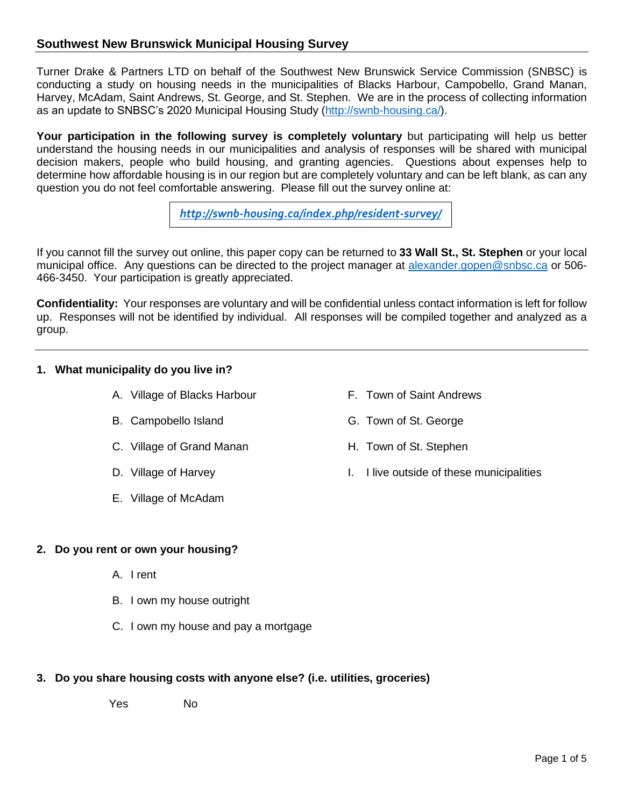# **Southwest New Brunswick Municipal Housing Survey**

Turner Drake & Partners LTD on behalf of the Southwest New Brunswick Service Commission (SNBSC) is conducting a study on housing needs in the municipalities of Blacks Harbour, Campobello, Grand Manan, Harvey, McAdam, Saint Andrews, St. George, and St. Stephen. We are in the process of collecting information as an update to SNBSC's 2020 Municipal Housing Study [\(http://swnb-housing.ca/\)](http://swnb-housing.ca/).

**Your participation in the following survey is completely voluntary** but participating will help us better understand the housing needs in our municipalities and analysis of responses will be shared with municipal decision makers, people who build housing, and granting agencies. Questions about expenses help to determine how affordable housing is in our region but are completely voluntary and can be left blank, as can any question you do not feel comfortable answering. Please fill out the survey online at:

*<http://swnb-housing.ca/index.php/resident-survey/>*

If you cannot fill the survey out online, this paper copy can be returned to **33 Wall St., St. Stephen** or your local municipal office. Any questions can be directed to the project manager at [alexander.gopen@snbsc.ca](mailto:alexander.gopen@snbsc.ca) or 506- 466-3450. Your participation is greatly appreciated.

**Confidentiality:** Your responses are voluntary and will be confidential unless contact information is left for follow up. Responses will not be identified by individual. All responses will be compiled together and analyzed as a group.

## **1. What municipality do you live in?**

- A. Village of Blacks Harbour
- B. Campobello Island
- C. Village of Grand Manan
- D. Village of Harvey
- E. Village of McAdam
- F. Town of Saint Andrews
- G. Town of St. George
- H. Town of St. Stephen
- I. I live outside of these municipalities

## **2. Do you rent or own your housing?**

- A. I rent
- B. I own my house outright
- C. I own my house and pay a mortgage

## **3. Do you share housing costs with anyone else? (i.e. utilities, groceries)**

Yes No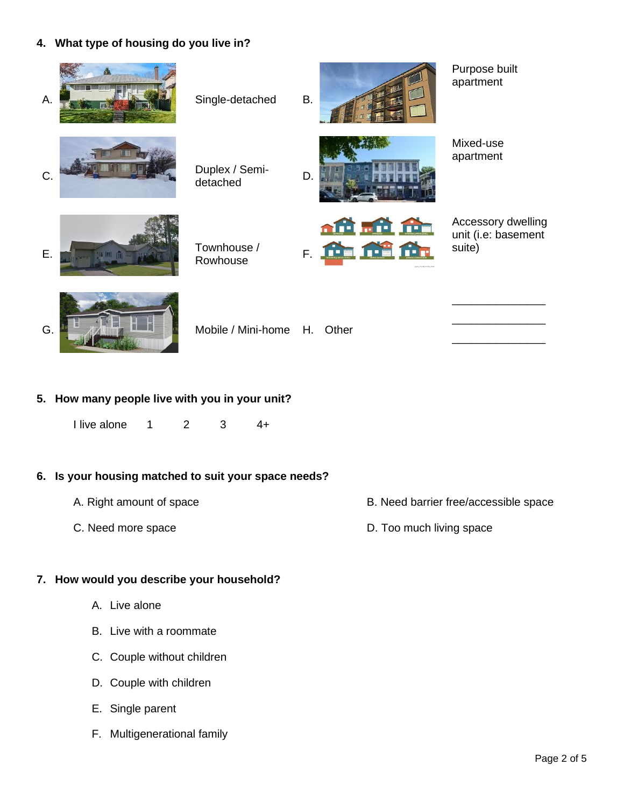# **4. What type of housing do you live in?**



# **5. How many people live with you in your unit?**

 $l$  live alone  $1$   $2$   $3$   $4+$ 

## **6. Is your housing matched to suit your space needs?**

- A. Right amount of space
- C. Need more space

### B. Need barrier free/accessible space

D. Too much living space

## **7. How would you describe your household?**

- A. Live alone
- B. Live with a roommate
- C. Couple without children
- D. Couple with children
- E. Single parent
- F. Multigenerational family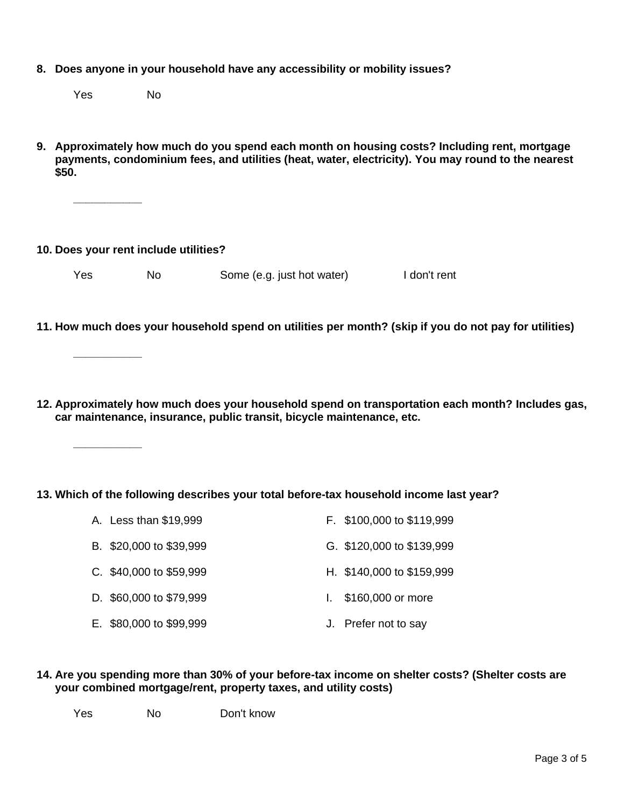**8. Does anyone in your household have any accessibility or mobility issues?**

Yes No

**9. Approximately how much do you spend each month on housing costs? Including rent, mortgage payments, condominium fees, and utilities (heat, water, electricity). You may round to the nearest \$50.** 

**\_\_\_\_\_\_\_\_\_\_\_**

**10. Does your rent include utilities?**

**\_\_\_\_\_\_\_\_\_\_\_**

**\_\_\_\_\_\_\_\_\_\_\_**

Yes No Some (e.g. just hot water) I don't rent

**11. How much does your household spend on utilities per month? (skip if you do not pay for utilities)**

**12. Approximately how much does your household spend on transportation each month? Includes gas, car maintenance, insurance, public transit, bicycle maintenance, etc.**

#### **13. Which of the following describes your total before-tax household income last year?**

- A. Less than \$19,999 F. \$100,000 to \$119,999
- B. \$20,000 to \$39,999 G. \$120,000 to \$139,999
- C. \$40,000 to \$59,999 H. \$140,000 to \$159,999
- D. \$60,000 to \$79,999 I. \$160,000 or more
- E. \$80,000 to \$99,999 J. Prefer not to say
- **14. Are you spending more than 30% of your before-tax income on shelter costs? (Shelter costs are your combined mortgage/rent, property taxes, and utility costs)**

Yes No Don't know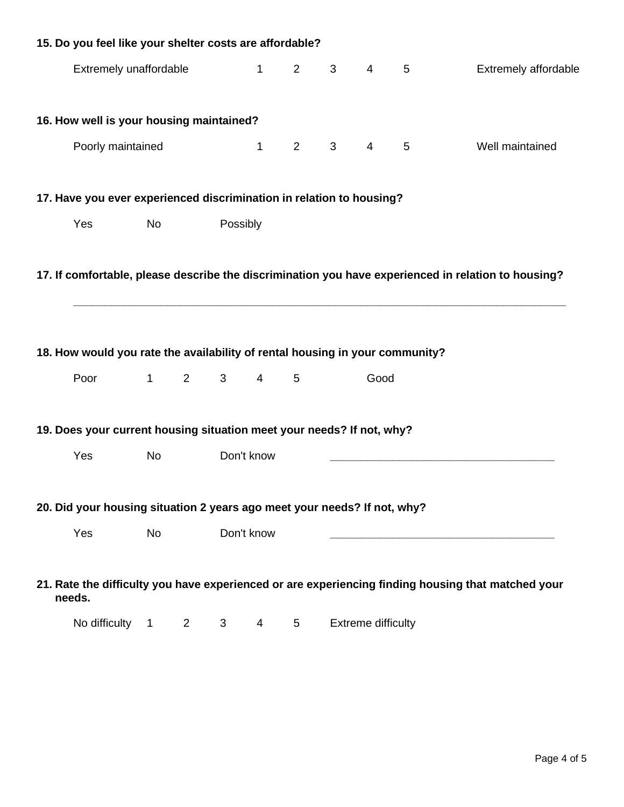|                                                                                                     | 15. Do you feel like your shelter costs are affordable? |                         |                |              |                 |                |                |                           |   |                                                                                                    |
|-----------------------------------------------------------------------------------------------------|---------------------------------------------------------|-------------------------|----------------|--------------|-----------------|----------------|----------------|---------------------------|---|----------------------------------------------------------------------------------------------------|
|                                                                                                     | Extremely unaffordable                                  |                         |                |              | $\mathbf{1}$    | $\overline{2}$ | 3 <sup>1</sup> | $4\overline{ }$           | 5 | Extremely affordable                                                                               |
|                                                                                                     | 16. How well is your housing maintained?                |                         |                |              |                 |                |                |                           |   |                                                                                                    |
|                                                                                                     | Poorly maintained                                       |                         |                |              | $\mathbf{1}$    | $\overline{2}$ | 3              | $\overline{4}$            | 5 | Well maintained                                                                                    |
| 17. Have you ever experienced discrimination in relation to housing?                                |                                                         |                         |                |              |                 |                |                |                           |   |                                                                                                    |
|                                                                                                     | Yes                                                     | No                      |                | Possibly     |                 |                |                |                           |   |                                                                                                    |
| 17. If comfortable, please describe the discrimination you have experienced in relation to housing? |                                                         |                         |                |              |                 |                |                |                           |   |                                                                                                    |
| 18. How would you rate the availability of rental housing in your community?                        |                                                         |                         |                |              |                 |                |                |                           |   |                                                                                                    |
|                                                                                                     | Poor                                                    | $\mathbf 1$             | $\overline{2}$ | $3^{\circ}$  | $\overline{4}$  | 5              |                | Good                      |   |                                                                                                    |
| 19. Does your current housing situation meet your needs? If not, why?                               |                                                         |                         |                |              |                 |                |                |                           |   |                                                                                                    |
|                                                                                                     | Yes                                                     | <b>No</b>               |                |              | Don't know      |                |                |                           |   |                                                                                                    |
| 20. Did your housing situation 2 years ago meet your needs? If not, why?                            |                                                         |                         |                |              |                 |                |                |                           |   |                                                                                                    |
|                                                                                                     | Yes                                                     | Don't know<br><b>No</b> |                |              |                 |                |                |                           |   |                                                                                                    |
|                                                                                                     | needs.                                                  |                         |                |              |                 |                |                |                           |   | 21. Rate the difficulty you have experienced or are experiencing finding housing that matched your |
|                                                                                                     | No difficulty 1                                         |                         | $2^{\circ}$    | $\mathbf{3}$ | $4\overline{ }$ | 5              |                | <b>Extreme difficulty</b> |   |                                                                                                    |